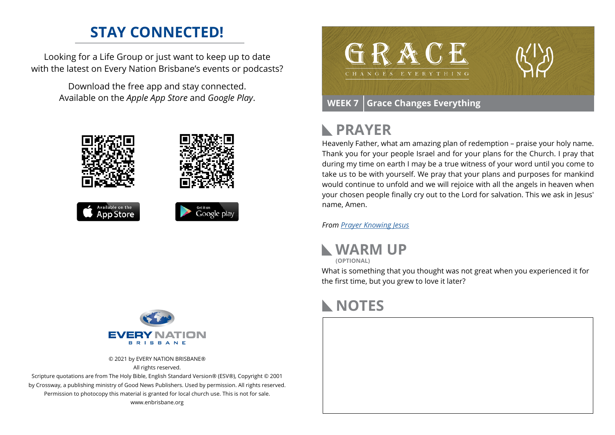#### **STAY CONNECTED!**

Looking for a Life Group or just want to keep up to date with the latest on Every Nation Brisbane's events or podcasts?

> Download the free app and stay connected. Available on the *Apple App Store* and *Google Play*.





© 2021 by EVERY NATION BRISBANE® All rights reserved.

Scripture quotations are from The Holy Bible, English Standard Version® (ESV®), Copyright © 2001 by Crossway, a publishing ministry of Good News Publishers. Used by permission. All rights reserved. Permission to photocopy this material is granted for local church use. This is not for sale. www.enbrisbane.org



## **PRAYER**

Heavenly Father, what am amazing plan of redemption – praise your holy name. Thank you for your people Israel and for your plans for the Church. I pray that during my time on earth I may be a true witness of your word until you come to take us to be with yourself. We pray that your plans and purposes for mankind would continue to unfold and we will rejoice with all the angels in heaven when your chosen people finally cry out to the Lord for salvation. This we ask in Jesus' name, Amen.

*From [Prayer](https://prayer.knowing-jesus.com/Romans/9) Knowing Jesus*



What is something that you thought was not great when you experienced it for the first time, but you grew to love it later?

### **NOTES**